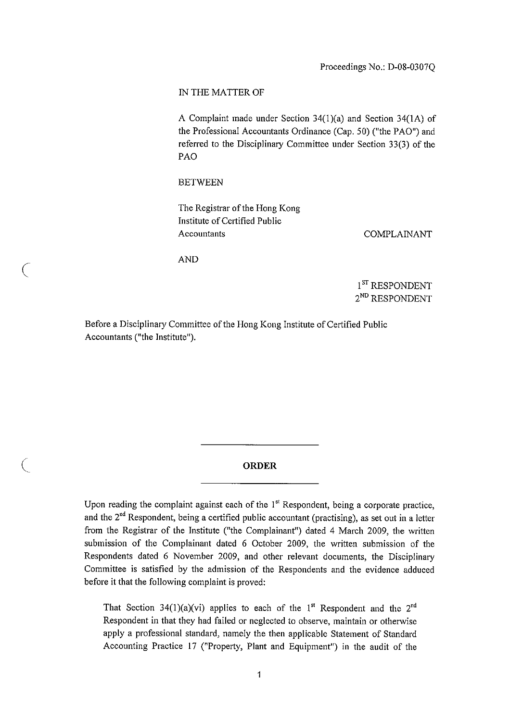#### IN THE MATTER OF

A Complaint **made under Section 34(1)(a) and Section** 34(1A) of **the Professional** Accountants **Ordinance** (Cap. 50) ("the PAO") and **referred to the Disciplinary Committee under Section** 33(3) of the PAO

### BETWEEN

The Registrar of the Hong Kong **Institute** of Certified Public Accountants

COMPLAINANT

AND

 $\left($ 

 $1^\mathrm{ST}$ RESPONDENT 2ND RESPONDENT

Before a Disciplinary Committee of the Hong Kong Institute of Certified Public Accountants ("the Institute").

## **ORDER**

Upon reading the complaint against each of the  $1<sup>st</sup>$  Respondent, being a corporate practice, and the 2<sup>nd</sup> Respondent, being a certified public accountant (practising), as set out in a letter from the Registrar of the Institute ("the Complainant") dated 4 March 2009, the written submission of the Complainant dated 6 October 2009, the written submission of the Respondents dated 6 November 2009, and other relevant documents, the Disciplinary Committee is satisfied by the admission of the Respondents and the evidence adduced before it that the following complaint is proved:

That Section 34(1)(a)(vi) applies to each of the 1<sup>st</sup> Respondent and the 2<sup>nd</sup> Respondent in that they had failed or neglected to observe, maintain or otherwise apply a professional standard, namely the then applicable Statement of Standard Accounting Practice 17 ("Property, Plant and Equipment") in the audit of the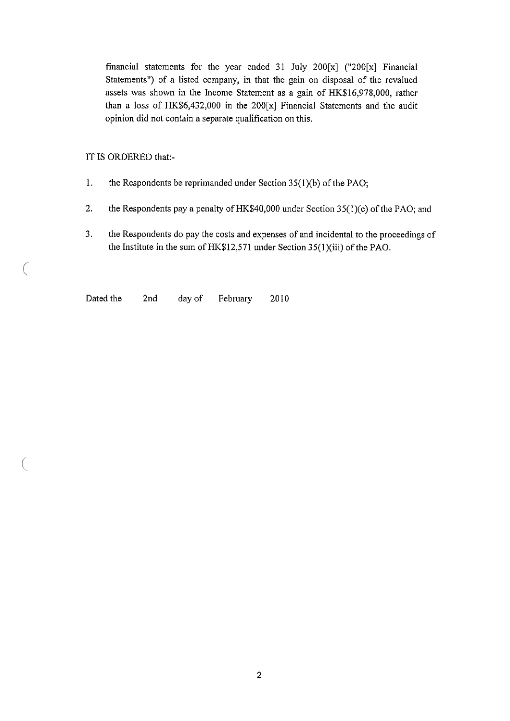financial statements for the year ended 31 July 200 $[x]$  ("200 $[x]$  Financial Statements") of a listed company, in that the gain on disposal of the revalued assets was shown in the Income Statement as a gain of HK\$16,978,000, rather than a loss of HK\$6,432,000 in the 200[x] Financial Statements and the audit opinion did not contain a separate qualification on this.

IT IS ORDERED that:-

 $\bigg($ 

 $\big($ 

- **1. the Respondents be reprimanded under Section** 35(1)(b) of the PAO;
- **2. the Respondents** pay a penalty of HK\$40,**000 under Section** 35(1)(c) of the PAO; and
- **3. the Respondents** do pay **the costs and expenses of and incidental to the proceedings of the Institute in the** sum of HK\$12,571 under **Section** 35(1)(iii) of the PAO.

Dated the 2nd day of February 2010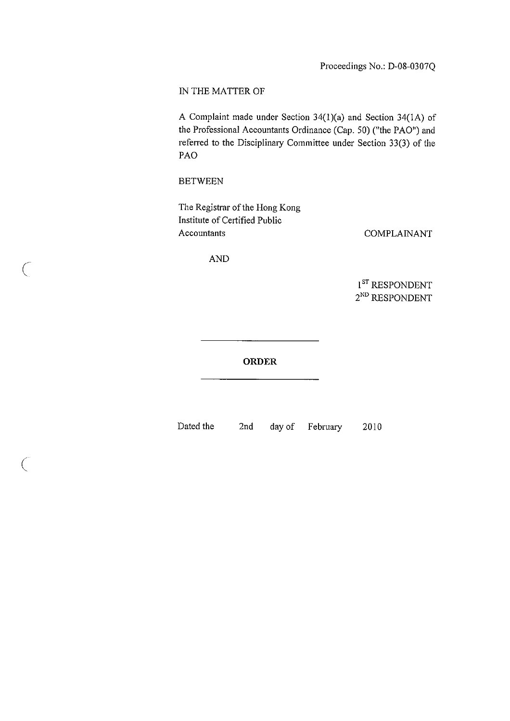# IN THE MATTER OF

A Complaint **made under Section 34**( **1)(a) and Section** 34(IA) of **the Professional Accountants Ordinance (Cap. 50** ) ("the PAO") and **referred to the Disciplinary Committee under Section 33** (3) of the PAO

### BETWEEN

 $\subset$ 

 $\bigcap$ 

The Registrar of the Hong Kong Institute of Certified Public Accountants

COMPLAINANT

AND

1<sup>ST</sup> RESPONDENT 2<sup>ND</sup> RESPONDENT

# ORDER

Dated the 2nd day of February 2010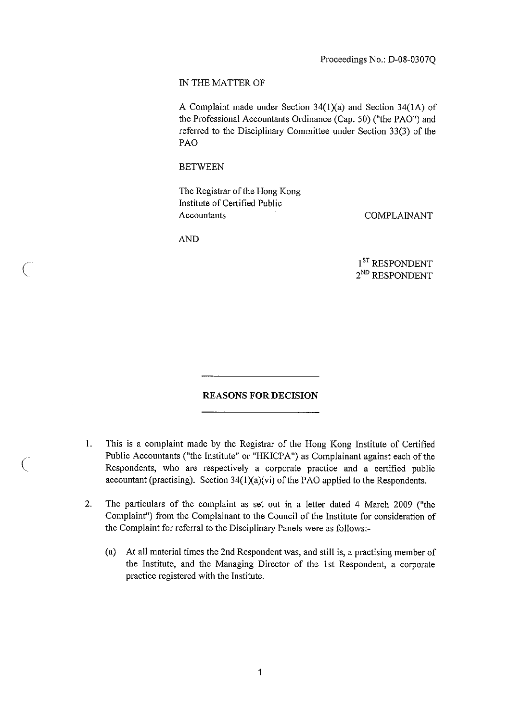## IN THE MATTER OF

A Complaint **made under** Section 34( **1)(a) and Section** 34(1A) of **the Professional Accountants Ordinance** (Cap. 50) ("the PAO") and **referred** to the Disciplinary **Committee under Section** 33(3) of the PAO

## **BETWEEN**

The Registrar of the Hong Kong **Institute** of Certified Public Accountants COMPLAINANT

AND

 $\setminus$ 

 $\setminus$ 

1<sup>ST</sup> RESPONDENT 2ND RESPONDENT

### REASONS FOR DECISION

- $1$ . This is a complaint made by the Registrar of the Hong Kong Institute of Certified Public Accountants ("the Institute" or "HKICPA") as Complainant against each of the Respondents, who are respectively a corporate practice and a certified public accountant (practising). Section 34(1)(a)(vi) of the PAO applied to the Respondents.
- 2. The particulars of the complaint as set out in a letter dated 4 March 2009 ("the Complaint") from the Complainant to the Council of the Institute for consideration of the Complaint for referral to the Disciplinary Panels were as follows:-
	- (a) At all material times the 2nd Respondent was, and still is, a practising member of the Institute, and the Managing Director of the 1st Respondent, a corporate practice registered with the Institute.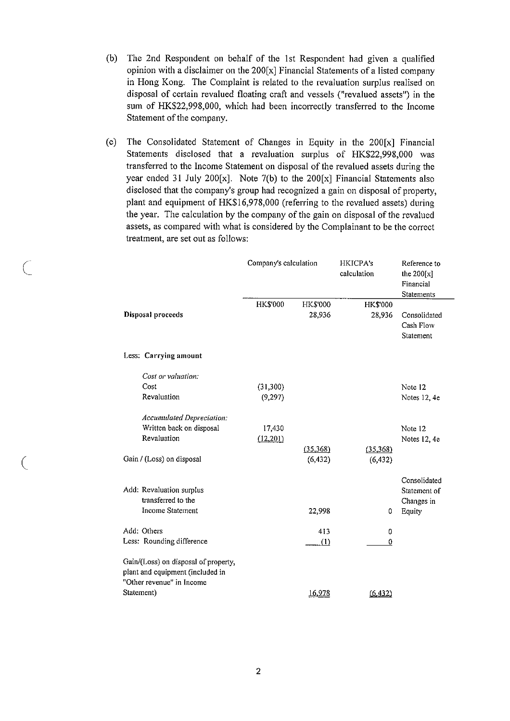- (b) The 2nd Respondent on behalf of the 1st Respondent had given a qualified opinion with a disclaimer on the 200[x] Financial Statements of a listed company in Hong Kong. The Complaint is related to the revaluation surplus realised on disposal of certain revalued floating craft and vessels ("revalued assets") in the sum of HK\$22,998,000, which had been incorrectly transferred to the Income Statement of the company.
- (c) The Consolidated Statement of Changes in Equity in the 200[x] Financial Statements disclosed that a revaluation surplus of HK\$22,998,000 was transferred to the Income Statement on disposal of the revalued assets during the year ended 31 July 200[x]. Note  $7(b)$  to the 200[x] Financial Statements also disclosed that the company's group had recognized a gain on disposal of property, plant and equipment of HK\$16,978,000 (referring to the revalued assets) during the year. The calculation by the company of the gain on disposal of the revalued assets, as compared with what is considered by the Complainant to be the correct treatment, are set out as follows:

|                                                                                                       | Company's calculation |                           | HKICPA's<br>calculation | Reference to<br>the $200[x]$<br>Financial<br>Statements |
|-------------------------------------------------------------------------------------------------------|-----------------------|---------------------------|-------------------------|---------------------------------------------------------|
| Disposal proceeds                                                                                     | <b>HK\$'000</b>       | <b>HK\$'000</b><br>28,936 | HK\$'000<br>28,936      | Consolidated<br>Cash Flow<br>Statement                  |
| Less: Carrying amount                                                                                 |                       |                           |                         |                                                         |
| Cost or valuation:                                                                                    |                       |                           |                         |                                                         |
| Cost                                                                                                  | (31, 300)             |                           |                         | Note 12                                                 |
| Revaluation                                                                                           | (9,297)               |                           |                         | Notes 12, 4e                                            |
| Accumulated Depreciation:                                                                             |                       |                           |                         |                                                         |
| Written back on disposal                                                                              | 17,430                |                           |                         | Note 12                                                 |
| Revaluation                                                                                           | (12,201)              |                           |                         | Notes 12, 4e                                            |
| Gain / (Loss) on disposal                                                                             |                       | (35,368)<br>(6, 432)      | (35,368)<br>(6, 432)    |                                                         |
| Add: Revaluation surplus<br>transferred to the<br>Income Statement                                    |                       | 22,998                    | 0                       | Consolidated<br>Statement of<br>Changes in<br>Equity    |
| Add: Others                                                                                           |                       | 413                       | 0                       |                                                         |
| Less: Rounding difference                                                                             |                       | (1)                       | 0                       |                                                         |
| Gain/(Loss) on disposal of property,<br>plant and equipment (included in<br>"Other revenue" in Income |                       |                           |                         |                                                         |
| Statement)                                                                                            |                       | 16,978                    | (6.432)                 |                                                         |

 $\backslash$ 

€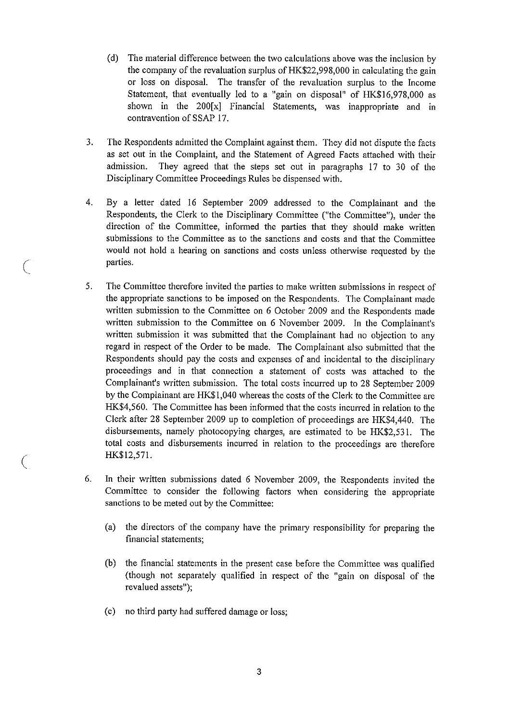- (d) The material difference between the two calculations above was the inclusion by the company of the revaluation surplus of HK\$22,998,000 in calculating the gain or loss on disposal. The transfer of the revaluation surplus to the Income Statement, that eventually led to a "gain on disposal" of HK\$16,978,000 as shown in the 200[x] Financial Statements, was inappropriate and in contravention of SSAP 17.
- **3. The Respondents admitted the Complaint against them** . They **did not dispute the facts as set out in the Complaint**, **and the Statement of Agreed Facts attached with their admission**. **They agreed that the steps set out in paragraphs** 17 to 30 of the **Disciplinary Committee Proceedings Rules be dispensed with.**
- 4. By a letter dated 16 September 2009 addressed to the Complainant and the Respondents, the Clerk to the Disciplinary Committee ("the Committee"), under the direction of the Committee, informed the parties that they should make written submissions to the Committee as to the sanctions and costs and that the Committee would not hold a hearing on sanctions and costs unless otherwise requested by the parties.
- 5. The Committee therefore invited the parties to make written submissions in respect of the appropriate sanctions to be imposed on the Respondents. The Complainant made written submission to the Committee on 6 October 2009 and the Respondents made written submission to the Committee on 6 November 2009. In the Complainant's written submission it was submitted that the Complainant had no objection to any regard in respect of the Order to be made. The Complainant also submitted that the Respondents should pay the costs and expenses of and incidental to the disciplinary proceedings and in that connection a statement of costs was attached to the Complainant's written submission. The total costs incurred up to 28 September 2009 by the Complainant are HK\$1,040 whereas the costs of the Clerk to the Committee are HK\$4,560. The Committee has been informed that the costs incurred in relation to the Clerk after 28 September 2009 up to completion of proceedings are HK\$4,440. The disbursements, namely photocopying charges, are estimated to be HK\$2,531. The total costs and disbursements incurred in relation to the proceedings are therefore HK\$12,571.
- 6. In their written submissions dated 6 November 2009, the Respondents invited the Committee to consider the following factors when considering the appropriate sanctions to be meted out by the Committee:
	- (a) the directors of the company have the primary responsibility for preparing the financial statements;
	- (b) the financial statements in the present case before the Committee was qualified (though not separately qualified in respect of the "gain on disposal of the revalued assets");
	- (c) no third party had suffered damage or loss;

€

 $\big($